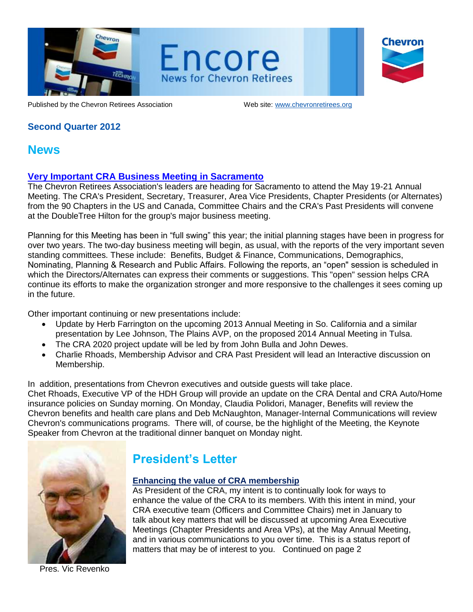



Chevron

Published by the Chevron Retirees Association Web site: www.chevronretirees.org

# **Second Quarter 2012**

# **News**

# **Very Important CRA Business Meeting in Sacramento**

The Chevron Retirees Association's leaders are heading for Sacramento to attend the May 19-21 Annual Meeting. The CRA's President, Secretary, Treasurer, Area Vice Presidents, Chapter Presidents (or Alternates) from the 90 Chapters in the US and Canada, Committee Chairs and the CRA's Past Presidents will convene at the DoubleTree Hilton for the group's major business meeting.

Planning for this Meeting has been in "full swing" this year; the initial planning stages have been in progress for over two years. The two-day business meeting will begin, as usual, with the reports of the very important seven standing committees. These include: Benefits, Budget & Finance, Communications, Demographics, Nominating, Planning & Research and Public Affairs. Following the reports, an "open" session is scheduled in which the Directors/Alternates can express their comments or suggestions. This "open" session helps CRA continue its efforts to make the organization stronger and more responsive to the challenges it sees coming up in the future.

Other important continuing or new presentations include:

- Update by Herb Farrington on the upcoming 2013 Annual Meeting in So. California and a similar presentation by Lee Johnson, The Plains AVP, on the proposed 2014 Annual Meeting in Tulsa.
- The CRA 2020 project update will be led by from John Bulla and John Dewes.
- Charlie Rhoads, Membership Advisor and CRA Past President will lead an Interactive discussion on Membership.

In addition, presentations from Chevron executives and outside guests will take place. Chet Rhoads, Executive VP of the HDH Group will provide an update on the CRA Dental and CRA Auto/Home insurance policies on Sunday morning. On Monday, Claudia Polidori, Manager, Benefits will review the Chevron benefits and health care plans and Deb McNaughton, Manager-Internal Communications will review Chevron's communications programs. There will, of course, be the highlight of the Meeting, the Keynote Speaker from Chevron at the traditional dinner banquet on Monday night.



# **President's Letter**

# **Enhancing the value of CRA membership**

As President of the CRA, my intent is to continually look for ways to enhance the value of the CRA to its members. With this intent in mind, your CRA executive team (Officers and Committee Chairs) met in January to talk about key matters that will be discussed at upcoming Area Executive Meetings (Chapter Presidents and Area VPs), at the May Annual Meeting, and in various communications to you over time. This is a status report of matters that may be of interest to you. Continued on page 2

Pres. Vic Revenko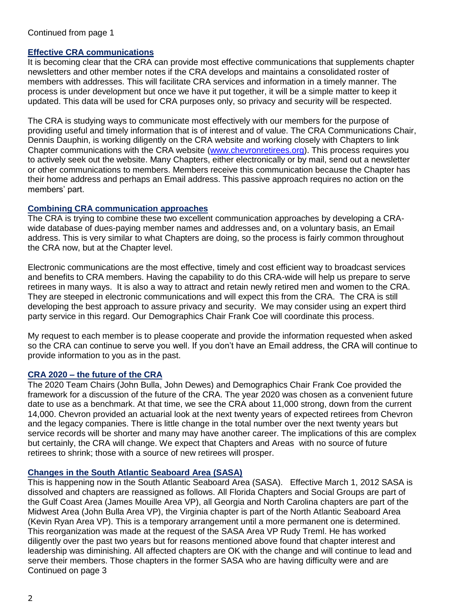### **Effective CRA communications**

It is becoming clear that the CRA can provide most effective communications that supplements chapter newsletters and other member notes if the CRA develops and maintains a consolidated roster of members with addresses. This will facilitate CRA services and information in a timely manner. The process is under development but once we have it put together, it will be a simple matter to keep it updated. This data will be used for CRA purposes only, so privacy and security will be respected.

The CRA is studying ways to communicate most effectively with our members for the purpose of providing useful and timely information that is of interest and of value. The CRA Communications Chair, Dennis Dauphin, is working diligently on the CRA website and working closely with Chapters to link Chapter communications with the CRA website [\(www.chevronretirees.org\)]((www.chevronretirees.org). This process requires you to actively seek out the website. Many Chapters, either electronically or by mail, send out a newsletter or other communications to members. Members receive this communication because the Chapter has their home address and perhaps an Email address. This passive approach requires no action on the members' part.

#### **Combining CRA communication approaches**

The CRA is trying to combine these two excellent communication approaches by developing a CRAwide database of dues-paying member names and addresses and, on a voluntary basis, an Email address. This is very similar to what Chapters are doing, so the process is fairly common throughout the CRA now, but at the Chapter level.

Electronic communications are the most effective, timely and cost efficient way to broadcast services and benefits to CRA members. Having the capability to do this CRA-wide will help us prepare to serve retirees in many ways. It is also a way to attract and retain newly retired men and women to the CRA. They are steeped in electronic communications and will expect this from the CRA. The CRA is still developing the best approach to assure privacy and security. We may consider using an expert third party service in this regard. Our Demographics Chair Frank Coe will coordinate this process.

My request to each member is to please cooperate and provide the information requested when asked so the CRA can continue to serve you well. If you don't have an Email address, the CRA will continue to provide information to you as in the past.

#### **CRA 2020 – the future of the CRA**

The 2020 Team Chairs (John Bulla, John Dewes) and Demographics Chair Frank Coe provided the framework for a discussion of the future of the CRA. The year 2020 was chosen as a convenient future date to use as a benchmark. At that time, we see the CRA about 11,000 strong, down from the current 14,000. Chevron provided an actuarial look at the next twenty years of expected retirees from Chevron and the legacy companies. There is little change in the total number over the next twenty years but service records will be shorter and many may have another career. The implications of this are complex but certainly, the CRA will change. We expect that Chapters and Areas with no source of future retirees to shrink; those with a source of new retirees will prosper.

# **Changes in the South Atlantic Seaboard Area (SASA)**

This is happening now in the South Atlantic Seaboard Area (SASA). Effective March 1, 2012 SASA is dissolved and chapters are reassigned as follows. All Florida Chapters and Social Groups are part of the Gulf Coast Area (James Mouille Area VP), all Georgia and North Carolina chapters are part of the Midwest Area (John Bulla Area VP), the Virginia chapter is part of the North Atlantic Seaboard Area (Kevin Ryan Area VP). This is a temporary arrangement until a more permanent one is determined. This reorganization was made at the request of the SASA Area VP Rudy Treml. He has worked diligently over the past two years but for reasons mentioned above found that chapter interest and leadership was diminishing. All affected chapters are OK with the change and will continue to lead and serve their members. Those chapters in the former SASA who are having difficulty were and are Continued on page 3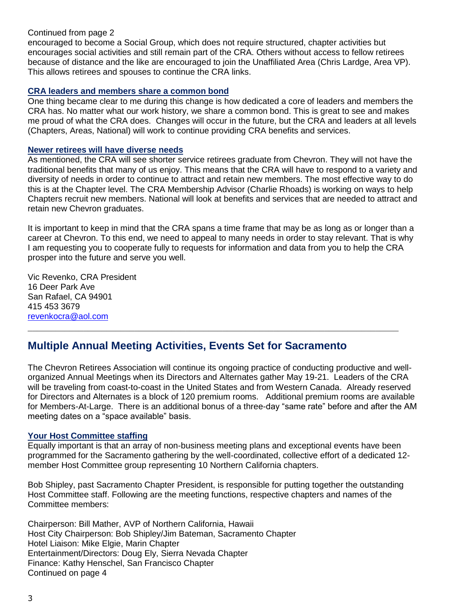encouraged to become a Social Group, which does not require structured, chapter activities but encourages social activities and still remain part of the CRA. Others without access to fellow retirees because of distance and the like are encouraged to join the Unaffiliated Area (Chris Lardge, Area VP). This allows retirees and spouses to continue the CRA links.

#### **CRA leaders and members share a common bond**

One thing became clear to me during this change is how dedicated a core of leaders and members the CRA has. No matter what our work history, we share a common bond. This is great to see and makes me proud of what the CRA does. Changes will occur in the future, but the CRA and leaders at all levels (Chapters, Areas, National) will work to continue providing CRA benefits and services.

#### **Newer retirees will have diverse needs**

As mentioned, the CRA will see shorter service retirees graduate from Chevron. They will not have the traditional benefits that many of us enjoy. This means that the CRA will have to respond to a variety and diversity of needs in order to continue to attract and retain new members. The most effective way to do this is at the Chapter level. The CRA Membership Advisor (Charlie Rhoads) is working on ways to help Chapters recruit new members. National will look at benefits and services that are needed to attract and retain new Chevron graduates.

It is important to keep in mind that the CRA spans a time frame that may be as long as or longer than a career at Chevron. To this end, we need to appeal to many needs in order to stay relevant. That is why I am requesting you to cooperate fully to requests for information and data from you to help the CRA prosper into the future and serve you well.

Vic Revenko, CRA President 16 Deer Park Ave San Rafael, CA 94901 415 453 3679 [revenkocra@aol.com](mailto:revenkocra@aol.com)

# **Multiple Annual Meeting Activities, Events Set for Sacramento**

The Chevron Retirees Association will continue its ongoing practice of conducting productive and wellorganized Annual Meetings when its Directors and Alternates gather May 19-21. Leaders of the CRA will be traveling from coast-to-coast in the United States and from Western Canada. Already reserved for Directors and Alternates is a block of 120 premium rooms. Additional premium rooms are available for Members-At-Large. There is an additional bonus of a three-day "same rate" before and after the AM meeting dates on a "space available" basis.

 $\mathcal{L}_\mathcal{L} = \{ \mathcal{L}_\mathcal{L} = \{ \mathcal{L}_\mathcal{L} = \{ \mathcal{L}_\mathcal{L} = \{ \mathcal{L}_\mathcal{L} = \{ \mathcal{L}_\mathcal{L} = \{ \mathcal{L}_\mathcal{L} = \{ \mathcal{L}_\mathcal{L} = \{ \mathcal{L}_\mathcal{L} = \{ \mathcal{L}_\mathcal{L} = \{ \mathcal{L}_\mathcal{L} = \{ \mathcal{L}_\mathcal{L} = \{ \mathcal{L}_\mathcal{L} = \{ \mathcal{L}_\mathcal{L} = \{ \mathcal{L}_\mathcal{$ 

# **Your Host Committee staffing**

Equally important is that an array of non-business meeting plans and exceptional events have been programmed for the Sacramento gathering by the well-coordinated, collective effort of a dedicated 12 member Host Committee group representing 10 Northern California chapters.

Bob Shipley, past Sacramento Chapter President, is responsible for putting together the outstanding Host Committee staff. Following are the meeting functions, respective chapters and names of the Committee members:

Chairperson: Bill Mather, AVP of Northern California, Hawaii Host City Chairperson: Bob Shipley/Jim Bateman, Sacramento Chapter Hotel Liaison: Mike Elgie, Marin Chapter Entertainment/Directors: Doug Ely, Sierra Nevada Chapter Finance: Kathy Henschel, San Francisco Chapter Continued on page 4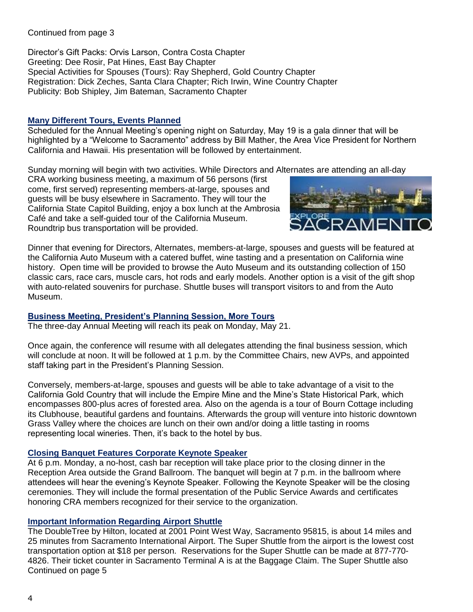Director's Gift Packs: Orvis Larson, Contra Costa Chapter Greeting: Dee Rosir, Pat Hines, East Bay Chapter Special Activities for Spouses (Tours): Ray Shepherd, Gold Country Chapter Registration: Dick Zeches, Santa Clara Chapter; Rich Irwin, Wine Country Chapter Publicity: Bob Shipley, Jim Bateman, Sacramento Chapter

### **Many Different Tours, Events Planned**

Scheduled for the Annual Meeting's opening night on Saturday, May 19 is a gala dinner that will be highlighted by a "Welcome to Sacramento" address by Bill Mather, the Area Vice President for Northern California and Hawaii. His presentation will be followed by entertainment.

Sunday morning will begin with two activities. While Directors and Alternates are attending an all-day

CRA working business meeting, a maximum of 56 persons (first come, first served) representing members-at-large, spouses and guests will be busy elsewhere in Sacramento. They will tour the California State Capitol Building, enjoy a box lunch at the Ambrosia Café and take a self-guided tour of the California Museum. Roundtrip bus transportation will be provided.



Dinner that evening for Directors, Alternates, members-at-large, spouses and guests will be featured at the California Auto Museum with a catered buffet, wine tasting and a presentation on California wine history. Open time will be provided to browse the Auto Museum and its outstanding collection of 150 classic cars, race cars, muscle cars, hot rods and early models. Another option is a visit of the gift shop with auto-related souvenirs for purchase. Shuttle buses will transport visitors to and from the Auto Museum.

# **Business Meeting, President's Planning Session, More Tours**

The three-day Annual Meeting will reach its peak on Monday, May 21.

Once again, the conference will resume with all delegates attending the final business session, which will conclude at noon. It will be followed at 1 p.m. by the Committee Chairs, new AVPs, and appointed staff taking part in the President's Planning Session.

Conversely, members-at-large, spouses and guests will be able to take advantage of a visit to the California Gold Country that will include the Empire Mine and the Mine's State Historical Park, which encompasses 800-plus acres of forested area. Also on the agenda is a tour of Bourn Cottage including its Clubhouse, beautiful gardens and fountains. Afterwards the group will venture into historic downtown Grass Valley where the choices are lunch on their own and/or doing a little tasting in rooms representing local wineries. Then, it's back to the hotel by bus.

# **Closing Banquet Features Corporate Keynote Speaker**

At 6 p.m. Monday, a no-host, cash bar reception will take place prior to the closing dinner in the Reception Area outside the Grand Ballroom. The banquet will begin at 7 p.m. in the ballroom where attendees will hear the evening's Keynote Speaker. Following the Keynote Speaker will be the closing ceremonies. They will include the formal presentation of the Public Service Awards and certificates honoring CRA members recognized for their service to the organization.

# **Important Information Regarding Airport Shuttle**

The DoubleTree by Hilton, located at 2001 Point West Way, Sacramento 95815, is about 14 miles and 25 minutes from Sacramento International Airport. The Super Shuttle from the airport is the lowest cost transportation option at \$18 per person. Reservations for the Super Shuttle can be made at 877-770- 4826. Their ticket counter in Sacramento Terminal A is at the Baggage Claim. The Super Shuttle also Continued on page 5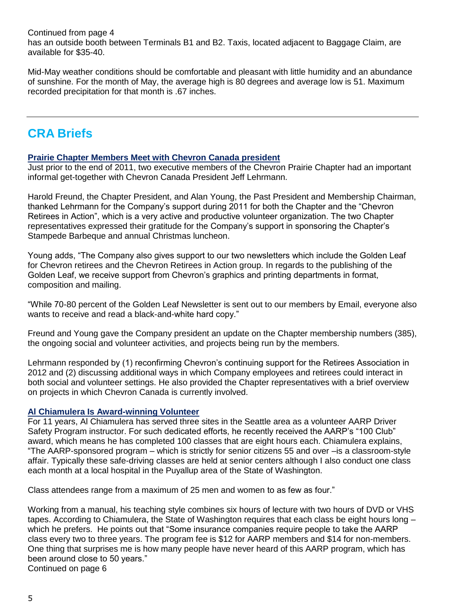Continued from page 4 has an outside booth between Terminals B1 and B2. Taxis, located adjacent to Baggage Claim, are available for \$35-40.

Mid-May weather conditions should be comfortable and pleasant with little humidity and an abundance of sunshine. For the month of May, the average high is 80 degrees and average low is 51. Maximum recorded precipitation for that month is .67 inches.

# **CRA Briefs**

# **Prairie Chapter Members Meet with Chevron Canada president**

Just prior to the end of 2011, two executive members of the Chevron Prairie Chapter had an important informal get-together with Chevron Canada President Jeff Lehrmann.

Harold Freund, the Chapter President, and Alan Young, the Past President and Membership Chairman, thanked Lehrmann for the Company's support during 2011 for both the Chapter and the "Chevron Retirees in Action", which is a very active and productive volunteer organization. The two Chapter representatives expressed their gratitude for the Company's support in sponsoring the Chapter's Stampede Barbeque and annual Christmas luncheon.

Young adds, "The Company also gives support to our two newsletters which include the Golden Leaf for Chevron retirees and the Chevron Retirees in Action group. In regards to the publishing of the Golden Leaf, we receive support from Chevron's graphics and printing departments in format, composition and mailing.

"While 70-80 percent of the Golden Leaf Newsletter is sent out to our members by Email, everyone also wants to receive and read a black-and-white hard copy."

Freund and Young gave the Company president an update on the Chapter membership numbers (385), the ongoing social and volunteer activities, and projects being run by the members.

Lehrmann responded by (1) reconfirming Chevron's continuing support for the Retirees Association in 2012 and (2) discussing additional ways in which Company employees and retirees could interact in both social and volunteer settings. He also provided the Chapter representatives with a brief overview on projects in which Chevron Canada is currently involved.

# **Al Chiamulera Is Award-winning Volunteer**

For 11 years, Al Chiamulera has served three sites in the Seattle area as a volunteer AARP Driver Safety Program instructor. For such dedicated efforts, he recently received the AARP's "100 Club" award, which means he has completed 100 classes that are eight hours each. Chiamulera explains, "The AARP-sponsored program – which is strictly for senior citizens 55 and over –is a classroom-style affair. Typically these safe-driving classes are held at senior centers although I also conduct one class each month at a local hospital in the Puyallup area of the State of Washington.

Class attendees range from a maximum of 25 men and women to as few as four."

Working from a manual, his teaching style combines six hours of lecture with two hours of DVD or VHS tapes. According to Chiamulera, the State of Washington requires that each class be eight hours long – which he prefers. He points out that "Some insurance companies require people to take the AARP class every two to three years. The program fee is \$12 for AARP members and \$14 for non-members. One thing that surprises me is how many people have never heard of this AARP program, which has been around close to 50 years." Continued on page 6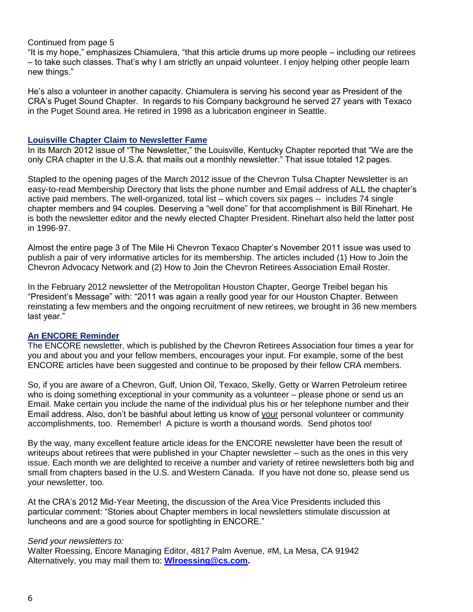"It is my hope," emphasizes Chiamulera, "that this article drums up more people – including our retirees – to take such classes. That's why I am strictly an unpaid volunteer. I enjoy helping other people learn new things."

He's also a volunteer in another capacity. Chiamulera is serving his second year as President of the CRA's Puget Sound Chapter. In regards to his Company background he served 27 years with Texaco in the Puget Sound area. He retired in 1998 as a lubrication engineer in Seattle.

#### **Louisville Chapter Claim to Newsletter Fame**

In its March 2012 issue of "The Newsletter," the Louisville, Kentucky Chapter reported that "We are the only CRA chapter in the U.S.A. that mails out a monthly newsletter." That issue totaled 12 pages.

Stapled to the opening pages of the March 2012 issue of the Chevron Tulsa Chapter Newsletter is an easy-to-read Membership Directory that lists the phone number and Email address of ALL the chapter's active paid members. The well-organized, total list – which covers six pages -- includes 74 single chapter members and 94 couples. Deserving a "well done" for that accomplishment is Bill Rinehart. He is both the newsletter editor and the newly elected Chapter President. Rinehart also held the latter post in 1996-97.

Almost the entire page 3 of The Mile Hi Chevron Texaco Chapter's November 2011 issue was used to publish a pair of very informative articles for its membership. The articles included (1) How to Join the Chevron Advocacy Network and (2) How to Join the Chevron Retirees Association Email Roster.

In the February 2012 newsletter of the Metropolitan Houston Chapter, George Treibel began his "President's Message" with: "2011 was again a really good year for our Houston Chapter. Between reinstating a few members and the ongoing recruitment of new retirees, we brought in 36 new members last year."

#### **An ENCORE Reminder**

The ENCORE newsletter, which is published by the Chevron Retirees Association four times a year for you and about you and your fellow members, encourages your input. For example, some of the best ENCORE articles have been suggested and continue to be proposed by their fellow CRA members.

So, if you are aware of a Chevron, Gulf, Union Oil, Texaco, Skelly, Getty or Warren Petroleum retiree who is doing something exceptional in your community as a volunteer – please phone or send us an Email. Make certain you include the name of the individual plus his or her telephone number and their Email address. Also, don't be bashful about letting us know of your personal volunteer or community accomplishments, too. Remember! A picture is worth a thousand words. Send photos too!

By the way, many excellent feature article ideas for the ENCORE newsletter have been the result of writeups about retirees that were published in your Chapter newsletter – such as the ones in this very issue. Each month we are delighted to receive a number and variety of retiree newsletters both big and small from chapters based in the U.S. and Western Canada. If you have not done so, please send us your newsletter, too.

At the CRA's 2012 Mid-Year Meeting, the discussion of the Area Vice Presidents included this particular comment: "Stories about Chapter members in local newsletters stimulate discussion at luncheons and are a good source for spotlighting in ENCORE."

#### *Send your newsletters to:*

Walter Roessing, Encore Managing Editor, 4817 Palm Avenue, #M, La Mesa, CA 91942 Alternatively, you may mail them to: **[Wlroessing@cs.com.](mailto:Wlroessing@cs.com)**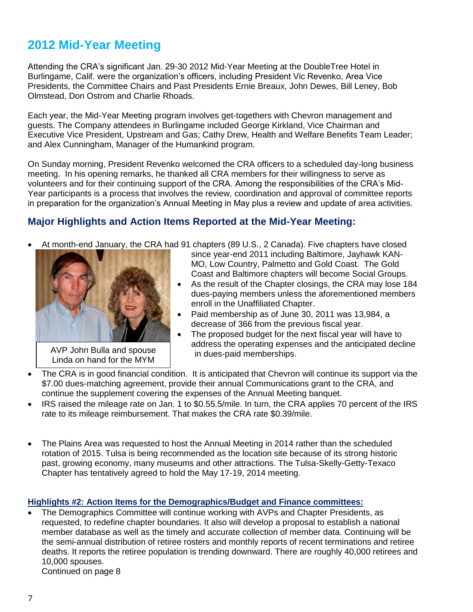# **2012 Mid-Year Meeting**

Attending the CRA's significant Jan. 29-30 2012 Mid-Year Meeting at the DoubleTree Hotel in Burlingame, Calif. were the organization's officers, including President Vic Revenko, Area Vice Presidents, the Committee Chairs and Past Presidents Ernie Breaux, John Dewes, Bill Leney, Bob Olmstead, Don Ostrom and Charlie Rhoads.

Each year, the Mid-Year Meeting program involves get-togethers with Chevron management and guests. The Company attendees in Burlingame included George Kirkland, Vice Chairman and Executive Vice President, Upstream and Gas; Cathy Drew, Health and Welfare Benefits Team Leader; and Alex Cunningham, Manager of the Humankind program.

On Sunday morning, President Revenko welcomed the CRA officers to a scheduled day-long business meeting. In his opening remarks, he thanked all CRA members for their willingness to serve as volunteers and for their continuing support of the CRA. Among the responsibilities of the CRA's Mid-Year participants is a process that involves the review, coordination and approval of committee reports in preparation for the organization's Annual Meeting in May plus a review and update of area activities.

# **Major Highlights and Action Items Reported at the Mid-Year Meeting:**

At month-end January, the CRA had 91 chapters (89 U.S., 2 Canada). Five chapters have closed



AVP John Bulla and spouse Linda on hand for the MYM

- since year-end 2011 including Baltimore, Jayhawk KAN-MO, Low Country, Palmetto and Gold Coast. The Gold Coast and Baltimore chapters will become Social Groups.
- As the result of the Chapter closings, the CRA may lose 184 dues-paying members unless the aforementioned members enroll in the Unaffiliated Chapter.
- Paid membership as of June 30, 2011 was 13,984, a decrease of 366 from the previous fiscal year.
- The proposed budget for the next fiscal year will have to address the operating expenses and the anticipated decline in dues-paid memberships.
- . • The CRA is in good financial condition. It is anticipated that Chevron will continue its support via the \$7.00 dues-matching agreement, provide their annual Communications grant to the CRA, and continue the supplement covering the expenses of the Annual Meeting banquet.
- IRS raised the mileage rate on Jan. 1 to \$0.55.5/mile. In turn, the CRA applies 70 percent of the IRS rate to its mileage reimbursement. That makes the CRA rate \$0.39/mile.
- The Plains Area was requested to host the Annual Meeting in 2014 rather than the scheduled rotation of 2015. Tulsa is being recommended as the location site because of its strong historic past, growing economy, many museums and other attractions. The Tulsa-Skelly-Getty-Texaco Chapter has tentatively agreed to hold the May 17-19, 2014 meeting.

# **Highlights #2: Action Items for the Demographics/Budget and Finance committees:**

 The Demographics Committee will continue working with AVPs and Chapter Presidents, as requested, to redefine chapter boundaries. It also will develop a proposal to establish a national member database as well as the timely and accurate collection of member data. Continuing will be the semi-annual distribution of retiree rosters and monthly reports of recent terminations and retiree deaths. It reports the retiree population is trending downward. There are roughly 40,000 retirees and 10,000 spouses.

Continued on page 8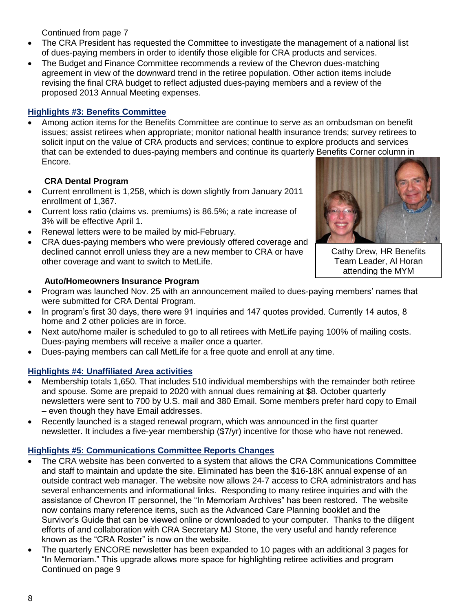- The CRA President has requested the Committee to investigate the management of a national list of dues-paying members in order to identify those eligible for CRA products and services.
- The Budget and Finance Committee recommends a review of the Chevron dues-matching agreement in view of the downward trend in the retiree population. Other action items include revising the final CRA budget to reflect adjusted dues-paying members and a review of the proposed 2013 Annual Meeting expenses.

# **Highlights #3: Benefits Committee**

 Among action items for the Benefits Committee are continue to serve as an ombudsman on benefit issues; assist retirees when appropriate; monitor national health insurance trends; survey retirees to solicit input on the value of CRA products and services; continue to explore products and services that can be extended to dues-paying members and continue its quarterly Benefits Corner column in Encore.

# **CRA Dental Program**

- Current enrollment is 1,258, which is down slightly from January 2011 enrollment of 1,367.
- Current loss ratio (claims vs. premiums) is 86.5%; a rate increase of 3% will be effective April 1.
- Renewal letters were to be mailed by mid-February.
- CRA dues-paying members who were previously offered coverage and declined cannot enroll unless they are a new member to CRA or have other coverage and want to switch to MetLife.

# **Auto/Homeowners Insurance Program**

- Program was launched Nov. 25 with an announcement mailed to dues-paying members' names that were submitted for CRA Dental Program.
- In program's first 30 days, there were 91 inquiries and 147 quotes provided. Currently 14 autos, 8 home and 2 other policies are in force.
- Next auto/home mailer is scheduled to go to all retirees with MetLife paying 100% of mailing costs. Dues-paying members will receive a mailer once a quarter.
- Dues-paying members can call MetLife for a free quote and enroll at any time.

# **Highlights #4: Unaffiliated Area activities**

- Membership totals 1,650. That includes 510 individual memberships with the remainder both retiree and spouse. Some are prepaid to 2020 with annual dues remaining at \$8. October quarterly newsletters were sent to 700 by U.S. mail and 380 Email. Some members prefer hard copy to Email – even though they have Email addresses.
- Recently launched is a staged renewal program, which was announced in the first quarter newsletter. It includes a five-year membership (\$7/yr) incentive for those who have not renewed.

# **Highlights #5: Communications Committee Reports Changes**

- The CRA website has been converted to a system that allows the CRA Communications Committee and staff to maintain and update the site. Eliminated has been the \$16-18K annual expense of an outside contract web manager. The website now allows 24-7 access to CRA administrators and has several enhancements and informational links. Responding to many retiree inquiries and with the assistance of Chevron IT personnel, the "In Memoriam Archives" has been restored. The website now contains many reference items, such as the Advanced Care Planning booklet and the Survivor's Guide that can be viewed online or downloaded to your computer. Thanks to the diligent efforts of and collaboration with CRA Secretary MJ Stone, the very useful and handy reference known as the "CRA Roster" is now on the website.
- The quarterly ENCORE newsletter has been expanded to 10 pages with an additional 3 pages for "In Memoriam." This upgrade allows more space for highlighting retiree activities and program Continued on page 9



Cathy Drew, HR Benefits Team Leader, Al Horan attending the MYM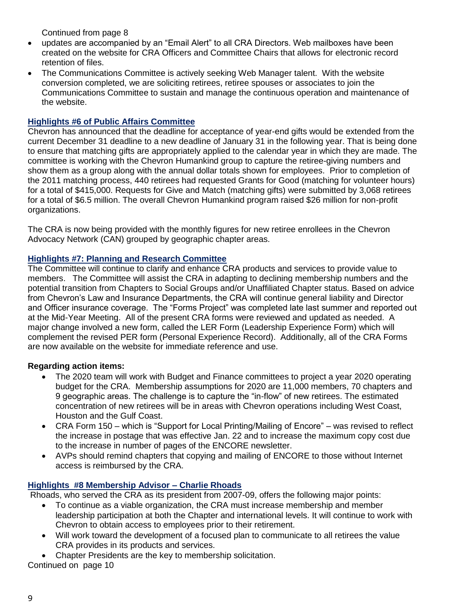- updates are accompanied by an "Email Alert" to all CRA Directors. Web mailboxes have been created on the website for CRA Officers and Committee Chairs that allows for electronic record retention of files.
- The Communications Committee is actively seeking Web Manager talent. With the website conversion completed, we are soliciting retirees, retiree spouses or associates to join the Communications Committee to sustain and manage the continuous operation and maintenance of the website.

# **Highlights #6 of Public Affairs Committee**

Chevron has announced that the deadline for acceptance of year-end gifts would be extended from the current December 31 deadline to a new deadline of January 31 in the following year. That is being done to ensure that matching gifts are appropriately applied to the calendar year in which they are made. The committee is working with the Chevron Humankind group to capture the retiree-giving numbers and show them as a group along with the annual dollar totals shown for employees. Prior to completion of the 2011 matching process, 440 retirees had requested Grants for Good (matching for volunteer hours) for a total of \$415,000. Requests for Give and Match (matching gifts) were submitted by 3,068 retirees for a total of \$6.5 million. The overall Chevron Humankind program raised \$26 million for non-profit organizations.

The CRA is now being provided with the monthly figures for new retiree enrollees in the Chevron Advocacy Network (CAN) grouped by geographic chapter areas.

# **Highlights #7: Planning and Research Committee**

The Committee will continue to clarify and enhance CRA products and services to provide value to members. The Committee will assist the CRA in adapting to declining membership numbers and the potential transition from Chapters to Social Groups and/or Unaffiliated Chapter status. Based on advice from Chevron's Law and Insurance Departments, the CRA will continue general liability and Director and Officer insurance coverage. The "Forms Project" was completed late last summer and reported out at the Mid-Year Meeting. All of the present CRA forms were reviewed and updated as needed. A major change involved a new form, called the LER Form (Leadership Experience Form) which will complement the revised PER form (Personal Experience Record). Additionally, all of the CRA Forms are now available on the website for immediate reference and use.

# **Regarding action items:**

- The 2020 team will work with Budget and Finance committees to project a year 2020 operating budget for the CRA. Membership assumptions for 2020 are 11,000 members, 70 chapters and 9 geographic areas. The challenge is to capture the "in-flow" of new retirees. The estimated concentration of new retirees will be in areas with Chevron operations including West Coast, Houston and the Gulf Coast.
- CRA Form 150 which is "Support for Local Printing/Mailing of Encore" was revised to reflect the increase in postage that was effective Jan. 22 and to increase the maximum copy cost due to the increase in number of pages of the ENCORE newsletter.
- AVPs should remind chapters that copying and mailing of ENCORE to those without Internet access is reimbursed by the CRA.

# **Highlights #8 Membership Advisor – Charlie Rhoads**

Rhoads, who served the CRA as its president from 2007-09, offers the following major points:

- To continue as a viable organization, the CRA must increase membership and member leadership participation at both the Chapter and international levels. It will continue to work with Chevron to obtain access to employees prior to their retirement.
- Will work toward the development of a focused plan to communicate to all retirees the value CRA provides in its products and services.
- Chapter Presidents are the key to membership solicitation.

Continued on page 10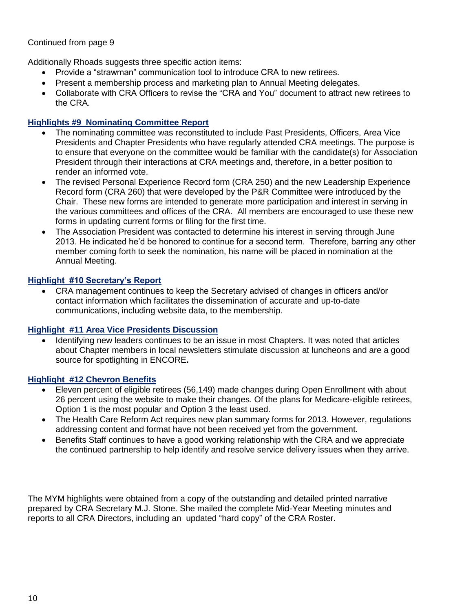Additionally Rhoads suggests three specific action items:

- Provide a "strawman" communication tool to introduce CRA to new retirees.
- Present a membership process and marketing plan to Annual Meeting delegates.
- Collaborate with CRA Officers to revise the "CRA and You" document to attract new retirees to the CRA.

# **Highlights #9 Nominating Committee Report**

- The nominating committee was reconstituted to include Past Presidents, Officers, Area Vice Presidents and Chapter Presidents who have regularly attended CRA meetings. The purpose is to ensure that everyone on the committee would be familiar with the candidate(s) for Association President through their interactions at CRA meetings and, therefore, in a better position to render an informed vote.
- The revised Personal Experience Record form (CRA 250) and the new Leadership Experience Record form (CRA 260) that were developed by the P&R Committee were introduced by the Chair. These new forms are intended to generate more participation and interest in serving in the various committees and offices of the CRA. All members are encouraged to use these new forms in updating current forms or filing for the first time.
- The Association President was contacted to determine his interest in serving through June 2013. He indicated he'd be honored to continue for a second term. Therefore, barring any other member coming forth to seek the nomination, his name will be placed in nomination at the Annual Meeting.

# **Highlight #10 Secretary's Report**

 CRA management continues to keep the Secretary advised of changes in officers and/or contact information which facilitates the dissemination of accurate and up-to-date communications, including website data, to the membership.

# **Highlight #11 Area Vice Presidents Discussion**

• Identifying new leaders continues to be an issue in most Chapters. It was noted that articles about Chapter members in local newsletters stimulate discussion at luncheons and are a good source for spotlighting in ENCORE**.** 

# **Highlight #12 Chevron Benefits**

- Eleven percent of eligible retirees (56,149) made changes during Open Enrollment with about 26 percent using the website to make their changes. Of the plans for Medicare-eligible retirees, Option 1 is the most popular and Option 3 the least used.
- The Health Care Reform Act requires new plan summary forms for 2013. However, regulations addressing content and format have not been received yet from the government.
- Benefits Staff continues to have a good working relationship with the CRA and we appreciate the continued partnership to help identify and resolve service delivery issues when they arrive.

The MYM highlights were obtained from a copy of the outstanding and detailed printed narrative prepared by CRA Secretary M.J. Stone. She mailed the complete Mid-Year Meeting minutes and reports to all CRA Directors, including an updated "hard copy" of the CRA Roster.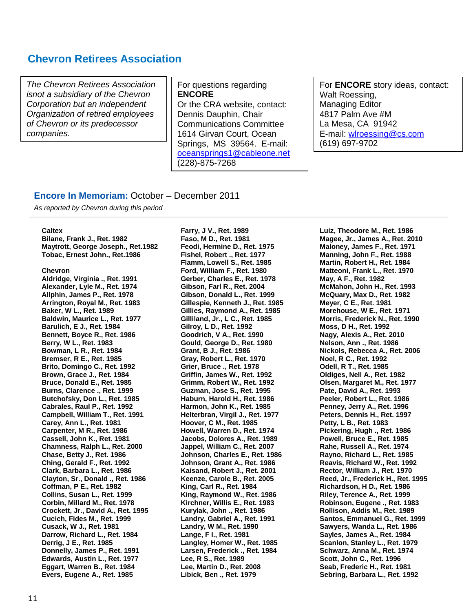# **Chevron Retirees Association**

*The Chevron Retirees Association isnot a subsidiary of the Chevron Corporation but an independent Organization of retired employees of Chevron or its predecessor companies.*

For questions regarding **ENCORE** Or the CRA website, contact: Dennis Dauphin, Chair Communications Committee 1614 Girvan Court, Ocean Springs, MS 39564. E-mail: [oceansprings1@cableone.net](mailto:oceansprings1@cableone.net) (228)-875-7268

For **ENCORE** story ideas, contact: Walt Roessing, Managing Editor 4817 Palm Ave #M La Mesa, CA 91942 E-mail: [wlroessing@cs.com](mailto:wlroessing@cs.com) (619) 697-9702

#### **Encore In Memoriam:** October – December 2011

*As reported by Chevron during this period*

#### **Caltex**

**Bilane, Frank J., Ret. 1982 Maytrott, George Joseph., Ret.1982 Tobac, Ernest John., Ret.1986**

#### **Chevron**

**Aldridge, Virginia ., Ret. 1991 Alexander, Lyle M., Ret. 1974 Allphin, James P., Ret. 1978 Arrington, Royal M., Ret. 1983 Baker, W L., Ret. 1989 Baldwin, Maurice L., Ret. 1977 Barulich, E J., Ret. 1984 Bennett, Boyce R., Ret. 1986 Berry, W L., Ret. 1983 Bowman, L R., Ret. 1984 Bremser, R E., Ret. 1985 Brito, Domingo C., Ret. 1992 Brown, Grace J., Ret. 1984 Bruce, Donald E., Ret. 1985 Burns, Clarence ., Ret. 1999 Butchofsky, Don L., Ret. 1985 Cabrales, Raul P., Ret. 1992 Campbell, William T., Ret. 1991 Carey, Ann L., Ret. 1981 Carpenter, M R., Ret. 1986 Cassell, John K., Ret. 1981 Chamness, Ralph L., Ret. 2000 Chase, Betty J., Ret. 1986 Ching, Gerald F., Ret. 1992 Clark, Barbara L., Ret. 1986 Clayton, Sr., Donald ., Ret. 1986 Coffman, P E., Ret. 1982 Collins, Susan L., Ret. 1999 Corbin, Millard M., Ret. 1978 Crockett, Jr., David A., Ret. 1995 Cucich, Fides M., Ret. 1999 Cusack, W J., Ret. 1981 Darrow, Richard L., Ret. 1984 Derrig, J E., Ret. 1985 Donnelly, James P., Ret. 1991 Edwards, Austin L., Ret. 1977 Eggart, Warren B., Ret. 1984 Evers, Eugene A., Ret. 1985**

**Farry, J V., Ret. 1989 Faso, M D., Ret. 1981 Feodi, Hermine D., Ret. 1975 Fishel, Robert ., Ret. 1977 Flamm, Lowell S., Ret. 1985 Ford, William F., Ret. 1980 Gerber, Charles E., Ret. 1978 Gibson, Farl R., Ret. 2004 Gibson, Donald L., Ret. 1999 Gillespie, Kenneth J., Ret. 1985 Gillies, Raymond A., Ret. 1985 Gilliland, Jr., L C., Ret. 1985 Gilroy, L D., Ret. 1992 Goodrich, V A., Ret. 1990 Gould, George D., Ret. 1980 Grant, B J., Ret. 1986 Gray, Robert L., Ret. 1970 Grier, Bruce ., Ret. 1978 Griffin, James W., Ret. 1992 Grimm, Robert W., Ret. 1992 Guzman, Jose S., Ret. 1995 Haburn, Harold H., Ret. 1986 Harmon, John K., Ret. 1985 Helterbran, Virgil J., Ret. 1977 Hoover, C M., Ret. 1985 Howell, Warren D., Ret. 1974 Jacobs, Dolores A., Ret. 1989 Jappel, William C., Ret. 2007 Johnson, Charles E., Ret. 1986 Johnson, Grant A., Ret. 1986 Kaisand, Robert J., Ret. 2001 Keenze, Carole B., Ret. 2005 King, Carl R., Ret. 1984 King, Raymond W., Ret. 1986 Kirchner, Willis E., Ret. 1983 Kurylak, John ., Ret. 1986 Landry, Gabriel A., Ret. 1991 Landry, W M., Ret. 1990 Lange, F I., Ret. 1981 Langley, Homer W., Ret. 1985 Larsen, Frederick ., Ret. 1984 Lee, R S., Ret. 1989 Lee, Martin D., Ret. 2008 Libick, Ben ., Ret. 1979**

**Luiz, Theodore M., Ret. 1986 Magee, Jr., James A., Ret. 2010 Maloney, James F., Ret. 1971 Manning, John F., Ret. 1988 Martin, Robert H., Ret. 1984 Matteoni, Frank L., Ret. 1970 May, A F., Ret. 1982 McMahon, John H., Ret. 1993 McQuary, Max D., Ret. 1982 Meyer, C E., Ret. 1981 Morehouse, W E., Ret. 1971 Morris, Frederick N., Ret. 1990 Moss, D H., Ret. 1992 Nagy, Alexis A., Ret. 2010 Nelson, Ann ., Ret. 1986 Nickols, Rebecca A., Ret. 2006 Noel, R C., Ret. 1992 Odell, R T., Ret. 1985 Oldiges, Nell A., Ret. 1982 Olsen, Margaret M., Ret. 1977 Pate, David A., Ret. 1993 Peeler, Robert L., Ret. 1986 Penney, Jerry A., Ret. 1996 Peters, Dennis H., Ret. 1997 Petty, L B., Ret. 1983 Pickering, Hugh ., Ret. 1986 Powell, Bruce E., Ret. 1985 Rahe, Russell A., Ret. 1974 Rayno, Richard L., Ret. 1985 Reavis, Richard W., Ret. 1992 Rector, William J., Ret. 1970 Reed, Jr., Frederick H., Ret. 1995 Richardson, H D., Ret. 1986 Riley, Terence A., Ret. 1999 Robinson, Eugene ., Ret. 1983 Rollison, Addis M., Ret. 1989 Santos, Emmanuel G., Ret. 1999 Sawyers, Wanda L., Ret. 1986 Sayles, James A., Ret. 1984 Scanlon, Stanley L., Ret. 1979 Schwarz, Anna M., Ret. 1974 Scott, John C., Ret. 1996 Seab, Frederic H., Ret. 1981 Sebring, Barbara L., Ret. 1992**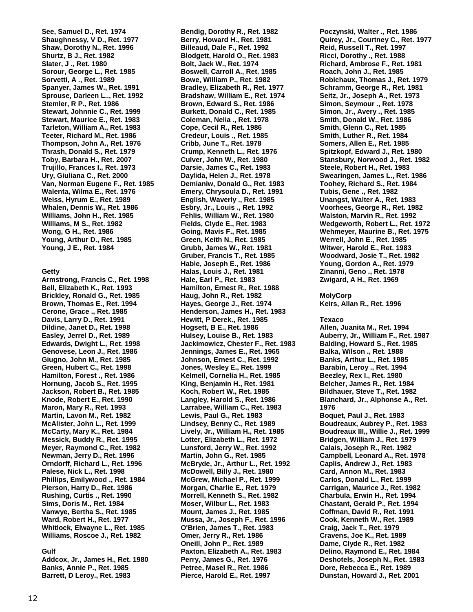**See, Samuel D., Ret. 1974 Shaughnessy, V D., Ret. 1977 Shaw, Dorothy N., Ret. 1996 Shurtz, B J., Ret. 1982 Slater, J ., Ret. 1980 Sorour, George L., Ret. 1985 Sorvetti, A ., Ret. 1989 Spanyer, James W., Ret. 1991 Sprouse, Darleen L.., Ret. 1992 Stemler, R P., Ret. 1986 Stewart, Johnnie C., Ret. 1999 Stewart, Maurice E., Ret. 1983 Tarleton, William A., Ret. 1983 Teeter, Richard M., Ret. 1986 Thompson, John A., Ret. 1976 Thrash, Donald S., Ret. 1979 Toby, Barbara H., Ret. 2007 Trujillo, Frances I., Ret. 1973 Ury, Giuliana C., Ret. 2000 Van, Norman Eugene F., Ret. 1985 Walenta, Wilma E., Ret. 1976 Weiss, Hyrum E., Ret. 1989 Whalen, Dennis W., Ret. 1986 Williams, John H., Ret. 1985 Williams, M S., Ret. 1982 Wong, G H., Ret. 1986 Young, Arthur D., Ret. 1985 Young, J E., Ret. 1984**

#### **Getty**

**Armstrong, Francis C., Ret. 1998 Bell, Elizabeth K., Ret. 1993 Brickley, Ronald G., Ret. 1985 Brown, Thomas E., Ret. 1994 Cerone, Grace ., Ret. 1985 Davis, Larry D., Ret. 1991 Dildine, Janet D., Ret. 1998 Easley, Jerrel D., Ret. 1989 Edwards, Dwight L., Ret. 1998 Genovese, Leon J., Ret. 1986 Giugno, John M., Ret. 1985 Green, Hubert C., Ret. 1998 Hamilton, Forest ., Ret. 1986 Hornung, Jacob S., Ret. 1995 Jackson, Robert B., Ret. 1985 Knode, Robert E., Ret. 1990 Maron, Mary R., Ret. 1993 Martin, Lavon M., Ret. 1982 McAlister, John L., Ret. 1999 McCarty, Mary K., Ret. 1984 Messick, Buddy R., Ret. 1995 Meyer, Raymond C., Ret. 1982 Newman, Jerry D., Ret. 1996 Orndorff, Richard L., Ret. 1996 Palese, Nick L., Ret. 1998 Phillips, Emilywood ., Ret. 1984 Pierson, Harry D., Ret. 1986 Rushing, Curtis ., Ret. 1990 Sims, Doris M., Ret. 1984 Vanwye, Bertha S., Ret. 1985 Ward, Robert H., Ret. 1977 Whitlock, Elwayne L., Ret. 1985 Williams, Roscoe J., Ret. 1982**

#### **Gulf**

**Addcox, Jr., James H., Ret. 1980 Banks, Annie P., Ret. 1985 Barrett, D Leroy., Ret. 1983**

**Bendig, Dorothy R., Ret. 1982 Berry, Howard H., Ret. 1981 Billeaud, Dale F., Ret. 1992 Blodgett, Harold O., Ret. 1983 Bolt, Jack W., Ret. 1974 Boswell, Carroll A., Ret. 1985 Bowe, William P., Ret. 1982 Bradley, Elizabeth R., Ret. 1977 Bradshaw, William E., Ret. 1974 Brown, Edward S., Ret. 1986 Burkett, Donald C., Ret. 1985 Coleman, Nelia ., Ret. 1978 Cope, Cecil R., Ret. 1986 Credeur, Louis ., Ret. 1985 Cribb, June T., Ret. 1978 Crump, Kenneth L., Ret. 1976 Culver, John W., Ret. 1980 Darsie, James C., Ret. 1983 Daylida, Helen J., Ret. 1978 Demianiw, Donald G., Ret. 1983 Emery, Chrysoula D., Ret. 1991 English, Waverly ., Ret. 1985 Esbry, Jr., Louis ., Ret. 1992 Fehlis, William W., Ret. 1980 Fields, Clyde E., Ret. 1983 Going, Mavis F., Ret. 1985 Green, Keith N., Ret. 1985 Grubb, James W., Ret. 1981 Gruber, Francis T., Ret. 1985 Hable, Joseph E., Ret. 1986 Halas, Louis J., Ret. 1981 Hale, Earl P., Ret. 1983 Hamilton, Ernest R., Ret. 1988 Haug, John R., Ret. 1982 Hayes, George J., Ret. 1974 Henderson, James H., Ret. 1983 Hewitt, P Derek., Ret. 1985 Hogsett, B E., Ret. 1986 Hulsey, Louise B., Ret. 1983 Jackimowicz, Chester F., Ret. 1983 Jennings, James E., Ret. 1965 Johnson, Ernest C., Ret. 1992 Jones, Wesley E., Ret. 1999 Kelmell, Cornelia H., Ret. 1985 King, Benjamin H., Ret. 1981 Koch, Robert W., Ret. 1985 Langley, Harold S., Ret. 1986 Larrabee, William C., Ret. 1983 Lewis, Paul G., Ret. 1983 Lindsey, Benny C., Ret. 1989 Lively, Jr., William H., Ret. 1985 Lotter, Elizabeth L., Ret. 1972 Lunsford, Jerry W., Ret. 1992 Martin, John G., Ret. 1985 McBryde, Jr., Arthur L., Ret. 1992 McDowell, Billy J., Ret. 1980 McGrew, Michael P., Ret. 1999 Morgan, Charlie E., Ret. 1979 Morrell, Kenneth S., Ret. 1982 Moser, Wilbur L., Ret. 1983 Mount, James J., Ret. 1985 Mussa, Jr., Joseph F., Ret. 1996 O'Brien, James T., Ret. 1983 Omer, Jerry R., Ret. 1986 Oneill, John P., Ret. 1989 Paxton, Elizabeth A., Ret. 1983 Perry, James G., Ret. 1976 Petree, Masel R., Ret. 1986 Pierce, Harold E., Ret. 1997**

**Poczynski, Walter ., Ret. 1986 Quirey, Jr., Courtney C., Ret. 1977 Reid, Russell T., Ret. 1997 Ricci, Dorothy ., Ret. 1988 Richard, Ambrose F., Ret. 1981 Roach, John J., Ret. 1985 Robichaux, Thomas J., Ret. 1979 Schramm, George R., Ret. 1981 Seitz, Jr., Joseph A., Ret. 1973 Simon, Seymour ., Ret. 1978 Simon, Jr., Avery ., Ret. 1985 Smith, Donald W., Ret. 1986 Smith, Glenn C., Ret. 1985 Smith, Luther R., Ret. 1984 Somers, Allen E., Ret. 1985 Spitzkopf, Edward J., Ret. 1980 Stansbury, Norwood J., Ret. 1982 Steele, Robert H., Ret. 1983 Swearingen, James L., Ret. 1986 Toohey, Richard S., Ret. 1984 Tubis, Gene ., Ret. 1982 Unangst, Walter A., Ret. 1983 Voorhees, George R., Ret. 1982 Walston, Marvin R., Ret. 1992 Wedgeworth, Robert L., Ret. 1972 Wehmeyer, Maurine B., Ret. 1975 Werrell, John E., Ret. 1985 Witwer, Harold E., Ret. 1983 Woodward, Josie T., Ret. 1982 Young, Gordon A., Ret. 1979 Zinanni, Geno ., Ret. 1978 Zwigard, A H., Ret. 1969**

#### **MolyCorp**

**Keirs, Allan R., Ret. 1996**

#### **Texaco**

**Allen, Juanita M., Ret. 1994 Auberry, Jr., William F., Ret. 1987 Balding, Howard S., Ret. 1985 Balka, Wilson ., Ret. 1988 Banks, Arthur L., Ret. 1985 Barabin, Leroy ., Ret. 1994 Beezley, Rex I., Ret. 1980 Belcher, James R., Ret. 1984 Bildhauer, Steve T., Ret. 1982 Blanchard, Jr., Alphonse A., Ret. 1976 Boquet, Paul J., Ret. 1983 Boudreaux, Aubrey P., Ret. 1983 Boudreaux III,, Willie J., Ret. 1999 Bridgen, William J., Ret. 1979 Calais, Joseph R., Ret. 1982 Campbell, Leonard A., Ret. 1978 Caplis, Andrew J., Ret. 1983 Card, Annon M., Ret. 1983 Carlos, Donald L., Ret. 1999 Carrigan, Maurice J., Ret. 1982 Charbula, Erwin H., Ret. 1994 Chastant, Gerald P., Ret. 1994 Coffman, David R., Ret. 1991 Cook, Kenneth W., Ret. 1989 Craig, Jack T., Ret. 1979 Cravens, Joe K., Ret. 1989 Dame, Clyde R., Ret. 1982 Delino, Raymond E., Ret. 1984 Deshotels, Joseph N., Ret. 1983 Dore, Rebecca E., Ret. 1989 Dunstan, Howard J., Ret. 2001**